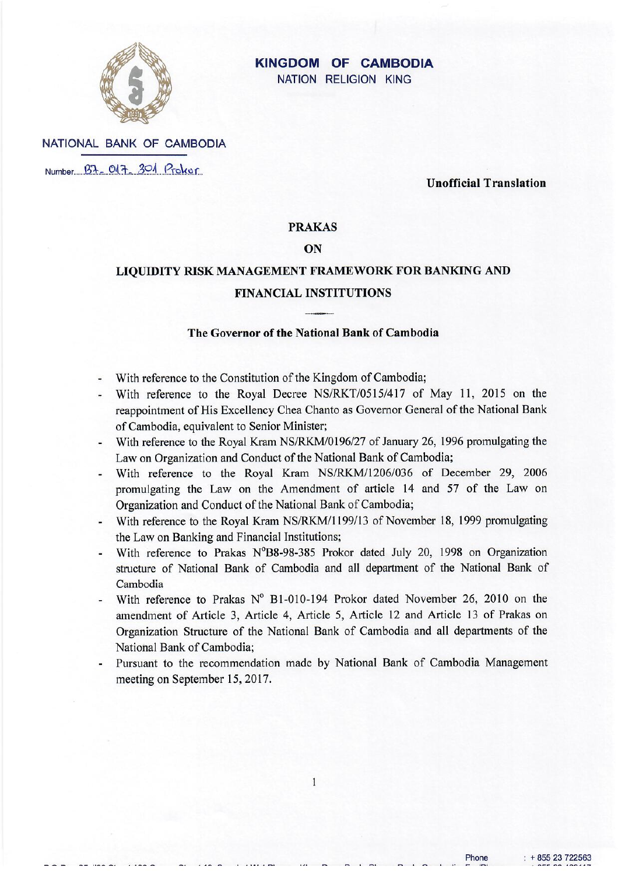

# **KINGDOM OF CAMBODIA**

NATION RELIGION KING

NATIONAL BANK OF CAMBODIA Number B7-017-301 Proker

**Unofficial Translation** 

# **PRAKAS**

### $O<sub>N</sub>$

# LIQUIDITY RISK MANAGEMENT FRAMEWORK FOR BANKING AND **FINANCIAL INSTITUTIONS**

### The Governor of the National Bank of Cambodia

- With reference to the Constitution of the Kingdom of Cambodia;
- With reference to the Royal Decree NS/RKT/0515/417 of May 11, 2015 on the reappointment of His Excellency Chea Chanto as Governor General of the National Bank of Cambodia, equivalent to Senior Minister:
- With reference to the Royal Kram NS/RKM/0196/27 of January 26, 1996 promulgating the Law on Organization and Conduct of the National Bank of Cambodia;
- With reference to the Royal Kram NS/RKM/1206/036 of December 29, 2006 promulgating the Law on the Amendment of article 14 and 57 of the Law on Organization and Conduct of the National Bank of Cambodia;
- With reference to the Royal Kram NS/RKM/1199/13 of November 18, 1999 promulgating the Law on Banking and Financial Institutions;
- With reference to Prakas N°B8-98-385 Prokor dated July 20, 1998 on Organization structure of National Bank of Cambodia and all department of the National Bank of Cambodia
- With reference to Prakas Nº B1-010-194 Prokor dated November 26, 2010 on the amendment of Article 3, Article 4, Article 5, Article 12 and Article 13 of Prakas on Organization Structure of the National Bank of Cambodia and all departments of the National Bank of Cambodia:
- Pursuant to the recommendation made by National Bank of Cambodia Management meeting on September 15, 2017.

 $\mathbf{1}$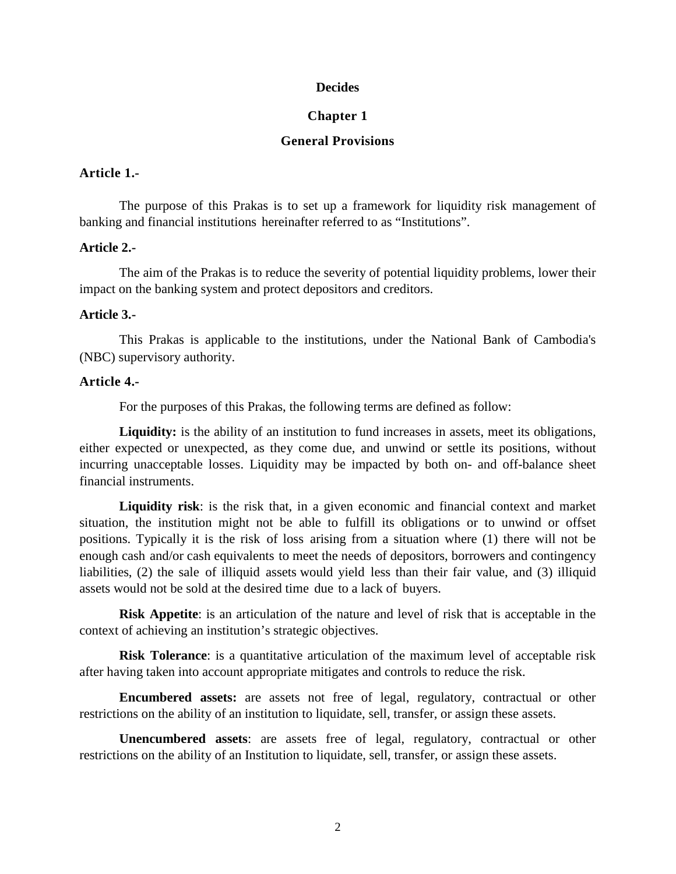### **Decides**

#### **Chapter 1**

# **General Provisions**

### **Article 1.-**

The purpose of this Prakas is to set up a framework for liquidity risk management of banking and financial institutions hereinafter referred to as "Institutions".

### **Article 2.-**

The aim of the Prakas is to reduce the severity of potential liquidity problems, lower their impact on the banking system and protect depositors and creditors.

#### **Article 3.-**

This Prakas is applicable to the institutions, under the National Bank of Cambodia's (NBC) supervisory authority.

### **Article 4.-**

For the purposes of this Prakas, the following terms are defined as follow:

**Liquidity:** is the ability of an institution to fund increases in assets, meet its obligations, either expected or unexpected, as they come due, and unwind or settle its positions, without incurring unacceptable losses. Liquidity may be impacted by both on- and off-balance sheet financial instruments.

**Liquidity risk**: is the risk that, in a given economic and financial context and market situation, the institution might not be able to fulfill its obligations or to unwind or offset positions. Typically it is [the risk](http://www.businessdictionary.com/definition/probability.html) of [loss](http://www.businessdictionary.com/definition/capital-gain-loss-holding-period.html) arising from a situation where (1) there will not be enough [cash](http://www.businessdictionary.com/definition/cash.html) and/or [cash equivalents](http://www.businessdictionary.com/definition/cash-equivalent.html) to meet the [needs](http://www.businessdictionary.com/definition/need.html) of depositors, [borrowers](http://www.businessdictionary.com/definition/borrower.html) and contingency liabilities, (2) the [sale](http://www.businessdictionary.com/definition/sale.html) of [illiquid](http://www.businessdictionary.com/definition/illiquid.html) [assets](http://www.businessdictionary.com/definition/asset.html) would [yield](http://www.businessdictionary.com/definition/yield.html) less than their [fair value,](http://www.businessdictionary.com/definition/fair-value.html) and (3) illiquid assets would not be sold at the desired time [due](http://www.businessdictionary.com/definition/due.html) to a lack of [buyers.](http://www.businessdictionary.com/definition/buyer.html)

**Risk Appetite**: is an articulation of the nature and level of risk that is acceptable in the context of achieving an institution's strategic objectives.

**Risk Tolerance**: is a quantitative articulation of the maximum level of acceptable risk after having taken into account appropriate mitigates and controls to reduce the risk.

**Encumbered assets:** are assets not free of legal, regulatory, contractual or other restrictions on the ability of an institution to liquidate, sell, transfer, or assign these assets.

**Unencumbered assets**: are assets free of legal, regulatory, contractual or other restrictions on the ability of an Institution to liquidate, sell, transfer, or assign these assets.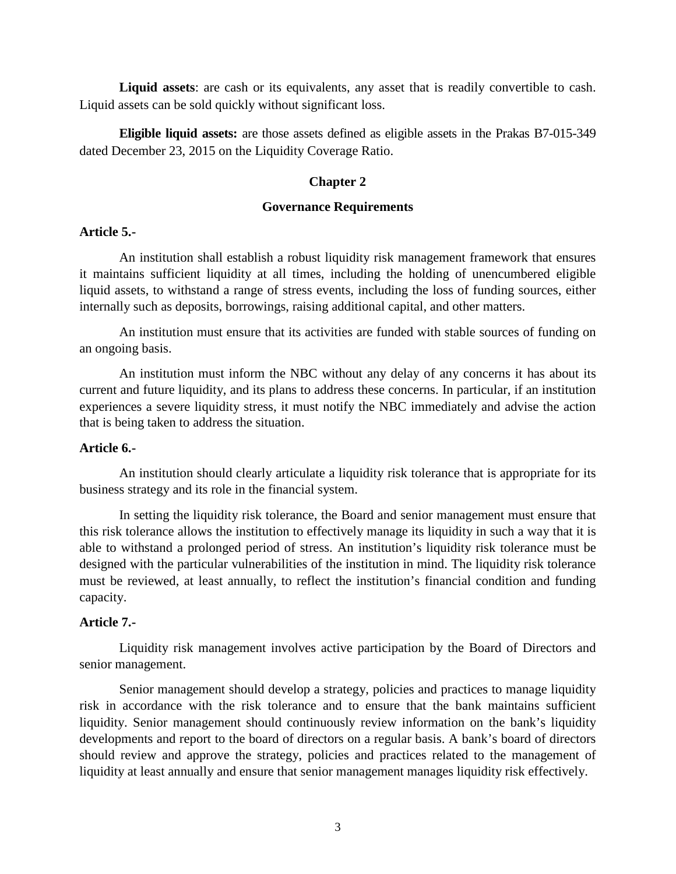**Liquid assets**: are cash or its equivalents, any asset that is readily convertible to cash. Liquid assets can be sold quickly without significant loss.

**Eligible liquid assets:** are those assets defined as eligible assets in the Prakas B7-015-349 dated December 23, 2015 on the Liquidity Coverage Ratio.

### **Chapter 2**

### **Governance Requirements**

### **Article 5.-**

An institution shall establish a robust liquidity risk management framework that ensures it maintains sufficient liquidity at all times, including the holding of unencumbered eligible liquid assets, to withstand a range of stress events, including the loss of funding sources, either internally such as deposits, borrowings, raising additional capital, and other matters.

An institution must ensure that its activities are funded with stable sources of funding on an ongoing basis.

An institution must inform the NBC without any delay of any concerns it has about its current and future liquidity, and its plans to address these concerns. In particular, if an institution experiences a severe liquidity stress, it must notify the NBC immediately and advise the action that is being taken to address the situation.

### **Article 6.-**

An institution should clearly articulate a liquidity risk tolerance that is appropriate for its business strategy and its role in the financial system.

In setting the liquidity risk tolerance, the Board and senior management must ensure that this risk tolerance allows the institution to effectively manage its liquidity in such a way that it is able to withstand a prolonged period of stress. An institution's liquidity risk tolerance must be designed with the particular vulnerabilities of the institution in mind. The liquidity risk tolerance must be reviewed, at least annually, to reflect the institution's financial condition and funding capacity.

# **Article 7.-**

Liquidity risk management involves active participation by the Board of Directors and senior management.

Senior management should develop a strategy, policies and practices to manage liquidity risk in accordance with the risk tolerance and to ensure that the bank maintains sufficient liquidity. Senior management should continuously review information on the bank's liquidity developments and report to the board of directors on a regular basis. A bank's board of directors should review and approve the strategy, policies and practices related to the management of liquidity at least annually and ensure that senior management manages liquidity risk effectively.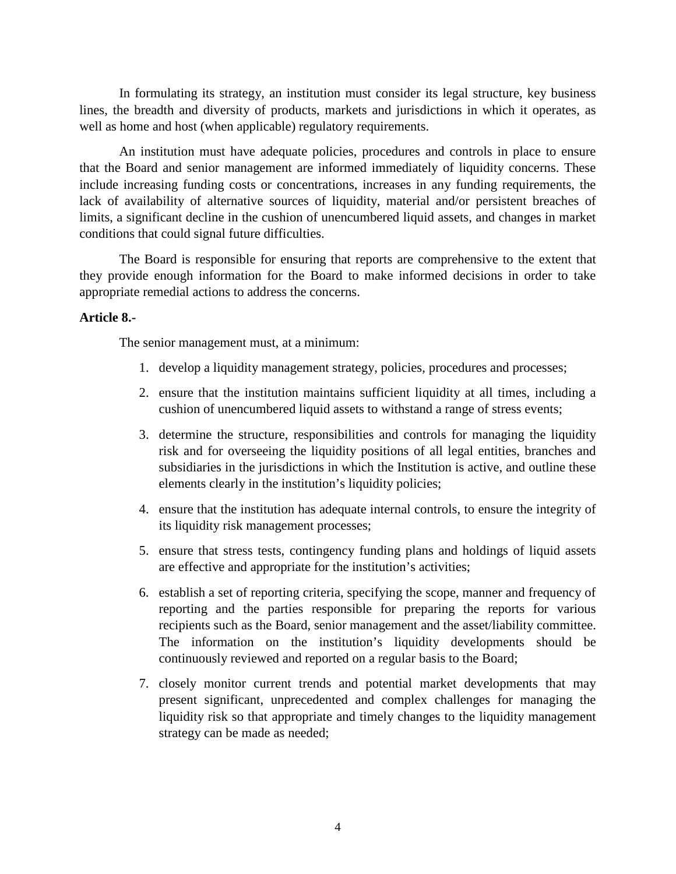In formulating its strategy, an institution must consider its legal structure, key business lines, the breadth and diversity of products, markets and jurisdictions in which it operates, as well as home and host (when applicable) regulatory requirements.

An institution must have adequate policies, procedures and controls in place to ensure that the Board and senior management are informed immediately of liquidity concerns. These include increasing funding costs or concentrations, increases in any funding requirements, the lack of availability of alternative sources of liquidity, material and/or persistent breaches of limits, a significant decline in the cushion of unencumbered liquid assets, and changes in market conditions that could signal future difficulties.

The Board is responsible for ensuring that reports are comprehensive to the extent that they provide enough information for the Board to make informed decisions in order to take appropriate remedial actions to address the concerns.

# **Article 8.-**

The senior management must, at a minimum:

- 1. develop a liquidity management strategy, policies, procedures and processes;
- 2. ensure that the institution maintains sufficient liquidity at all times, including a cushion of unencumbered liquid assets to withstand a range of stress events;
- 3. determine the structure, responsibilities and controls for managing the liquidity risk and for overseeing the liquidity positions of all legal entities, branches and subsidiaries in the jurisdictions in which the Institution is active, and outline these elements clearly in the institution's liquidity policies;
- 4. ensure that the institution has adequate internal controls, to ensure the integrity of its liquidity risk management processes;
- 5. ensure that stress tests, contingency funding plans and holdings of liquid assets are effective and appropriate for the institution's activities;
- 6. establish a set of reporting criteria, specifying the scope, manner and frequency of reporting and the parties responsible for preparing the reports for various recipients such as the Board, senior management and the asset/liability committee. The information on the institution's liquidity developments should be continuously reviewed and reported on a regular basis to the Board;
- 7. closely monitor current trends and potential market developments that may present significant, unprecedented and complex challenges for managing the liquidity risk so that appropriate and timely changes to the liquidity management strategy can be made as needed;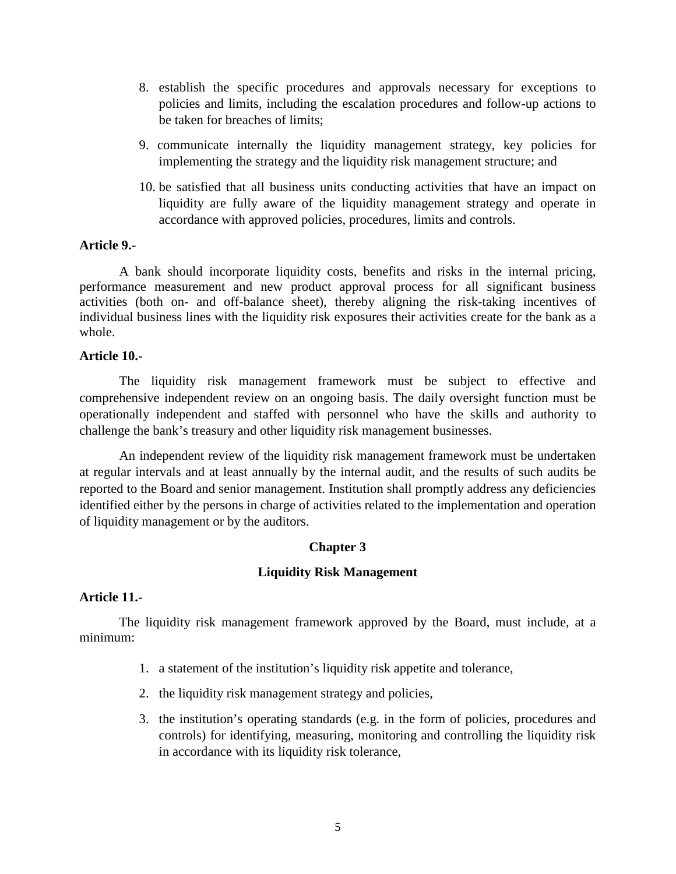- 8. establish the specific procedures and approvals necessary for exceptions to policies and limits, including the escalation procedures and follow-up actions to be taken for breaches of limits;
- 9. communicate internally the liquidity management strategy, key policies for implementing the strategy and the liquidity risk management structure; and
- 10. be satisfied that all business units conducting activities that have an impact on liquidity are fully aware of the liquidity management strategy and operate in accordance with approved policies, procedures, limits and controls.

### **Article 9.-**

A bank should incorporate liquidity costs, benefits and risks in the internal pricing, performance measurement and new product approval process for all significant business activities (both on- and off-balance sheet), thereby aligning the risk-taking incentives of individual business lines with the liquidity risk exposures their activities create for the bank as a whole.

# **Article 10.-**

The liquidity risk management framework must be subject to effective and comprehensive independent review on an ongoing basis. The daily oversight function must be operationally independent and staffed with personnel who have the skills and authority to challenge the bank's treasury and other liquidity risk management businesses.

An independent review of the liquidity risk management framework must be undertaken at regular intervals and at least annually by the internal audit, and the results of such audits be reported to the Board and senior management. Institution shall promptly address any deficiencies identified either by the persons in charge of activities related to the implementation and operation of liquidity management or by the auditors.

# **Chapter 3**

# **Liquidity Risk Management**

### **Article 11.-**

The liquidity risk management framework approved by the Board, must include, at a minimum:

- 1. a statement of the institution's liquidity risk appetite and tolerance,
- 2. the liquidity risk management strategy and policies,
- 3. the institution's operating standards (e.g. in the form of policies, procedures and controls) for identifying, measuring, monitoring and controlling the liquidity risk in accordance with its liquidity risk tolerance,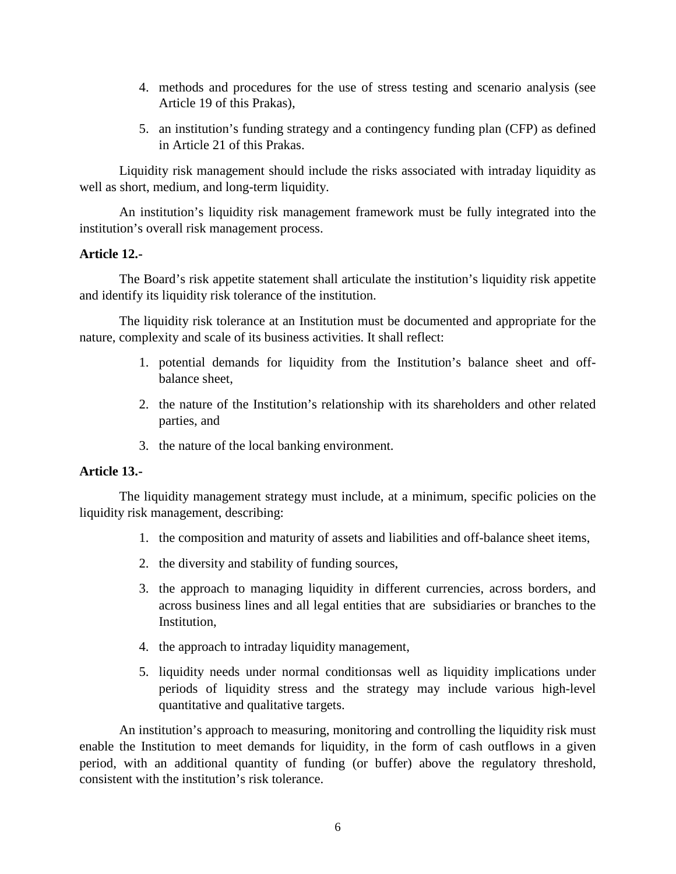- 4. methods and procedures for the use of stress testing and scenario analysis (see Article 19 of this Prakas),
- 5. an institution's funding strategy and a contingency funding plan (CFP) as defined in Article 21 of this Prakas.

Liquidity risk management should include the risks associated with intraday liquidity as well as short, medium, and long-term liquidity.

An institution's liquidity risk management framework must be fully integrated into the institution's overall risk management process.

# **Article 12.-**

The Board's risk appetite statement shall articulate the institution's liquidity risk appetite and identify its liquidity risk tolerance of the institution.

The liquidity risk tolerance at an Institution must be documented and appropriate for the nature, complexity and scale of its business activities. It shall reflect:

- 1. potential demands for liquidity from the Institution's balance sheet and offbalance sheet,
- 2. the nature of the Institution's relationship with its shareholders and other related parties, and
- 3. the nature of the local banking environment.

# **Article 13.-**

The liquidity management strategy must include, at a minimum, specific policies on the liquidity risk management, describing:

- 1. the composition and maturity of assets and liabilities and off-balance sheet items,
- 2. the diversity and stability of funding sources,
- 3. the approach to managing liquidity in different currencies, across borders, and across business lines and all legal entities that are subsidiaries or branches to the Institution,
- 4. the approach to intraday liquidity management,
- 5. liquidity needs under normal conditionsas well as liquidity implications under periods of liquidity stress and the strategy may include various high-level quantitative and qualitative targets.

An institution's approach to measuring, monitoring and controlling the liquidity risk must enable the Institution to meet demands for liquidity, in the form of cash outflows in a given period, with an additional quantity of funding (or buffer) above the regulatory threshold, consistent with the institution's risk tolerance.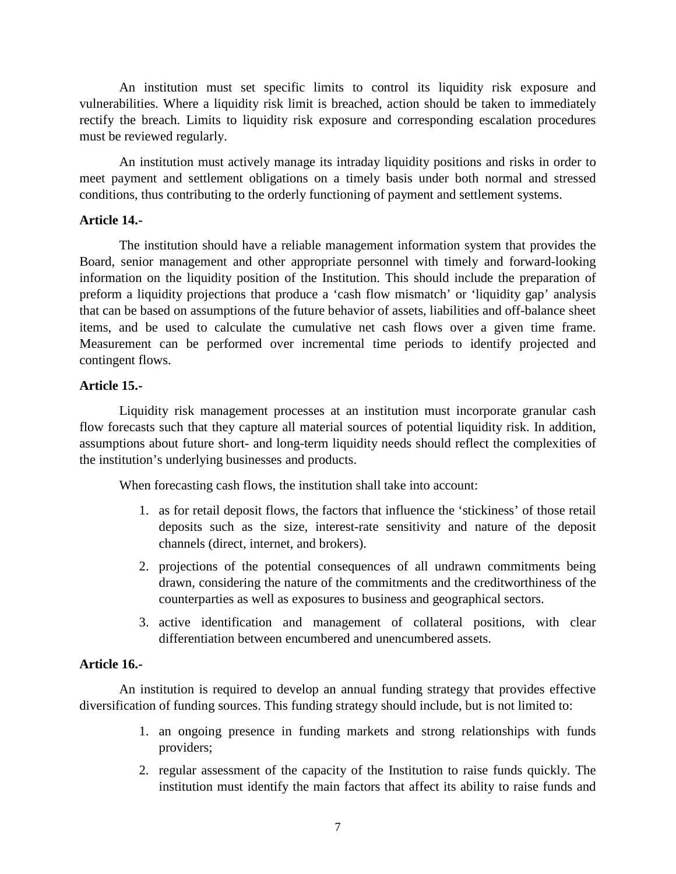An institution must set specific limits to control its liquidity risk exposure and vulnerabilities. Where a liquidity risk limit is breached, action should be taken to immediately rectify the breach. Limits to liquidity risk exposure and corresponding escalation procedures must be reviewed regularly.

An institution must actively manage its intraday liquidity positions and risks in order to meet payment and settlement obligations on a timely basis under both normal and stressed conditions, thus contributing to the orderly functioning of payment and settlement systems.

# **Article 14.-**

The institution should have a reliable management information system that provides the Board, senior management and other appropriate personnel with timely and forward-looking information on the liquidity position of the Institution. This should include the preparation of preform a liquidity projections that produce a 'cash flow mismatch' or 'liquidity gap' analysis that can be based on assumptions of the future behavior of assets, liabilities and off-balance sheet items, and be used to calculate the cumulative net cash flows over a given time frame. Measurement can be performed over incremental time periods to identify projected and contingent flows.

# **Article 15.-**

Liquidity risk management processes at an institution must incorporate granular cash flow forecasts such that they capture all material sources of potential liquidity risk. In addition, assumptions about future short- and long-term liquidity needs should reflect the complexities of the institution's underlying businesses and products.

When forecasting cash flows, the institution shall take into account:

- 1. as for retail deposit flows, the factors that influence the 'stickiness' of those retail deposits such as the size, interest-rate sensitivity and nature of the deposit channels (direct, internet, and brokers).
- 2. projections of the potential consequences of all undrawn commitments being drawn, considering the nature of the commitments and the creditworthiness of the counterparties as well as exposures to business and geographical sectors.
- 3. active identification and management of collateral positions, with clear differentiation between encumbered and unencumbered assets.

### **Article 16.-**

 An institution is required to develop an annual funding strategy that provides effective diversification of funding sources. This funding strategy should include, but is not limited to:

- 1. an ongoing presence in funding markets and strong relationships with funds providers;
- 2. regular assessment of the capacity of the Institution to raise funds quickly. The institution must identify the main factors that affect its ability to raise funds and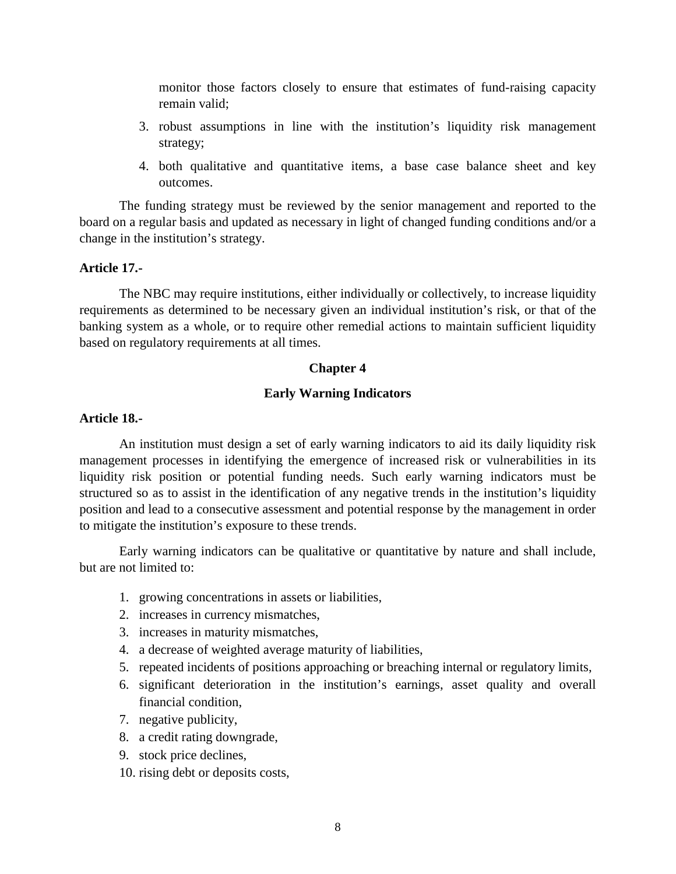monitor those factors closely to ensure that estimates of fund-raising capacity remain valid;

- 3. robust assumptions in line with the institution's liquidity risk management strategy;
- 4. both qualitative and quantitative items, a base case balance sheet and key outcomes.

The funding strategy must be reviewed by the senior management and reported to the board on a regular basis and updated as necessary in light of changed funding conditions and/or a change in the institution's strategy.

# **Article 17.-**

The NBC may require institutions, either individually or collectively, to increase liquidity requirements as determined to be necessary given an individual institution's risk, or that of the banking system as a whole, or to require other remedial actions to maintain sufficient liquidity based on regulatory requirements at all times.

# **Chapter 4**

# **Early Warning Indicators**

# **Article 18.-**

An institution must design a set of early warning indicators to aid its daily liquidity risk management processes in identifying the emergence of increased risk or vulnerabilities in its liquidity risk position or potential funding needs. Such early warning indicators must be structured so as to assist in the identification of any negative trends in the institution's liquidity position and lead to a consecutive assessment and potential response by the management in order to mitigate the institution's exposure to these trends.

Early warning indicators can be qualitative or quantitative by nature and shall include, but are not limited to:

- 1. growing concentrations in assets or liabilities,
- 2. increases in currency mismatches,
- 3. increases in maturity mismatches,
- 4. a decrease of weighted average maturity of liabilities,
- 5. repeated incidents of positions approaching or breaching internal or regulatory limits,
- 6. significant deterioration in the institution's earnings, asset quality and overall financial condition,
- 7. negative publicity,
- 8. a credit rating downgrade,
- 9. stock price declines,
- 10. rising debt or deposits costs,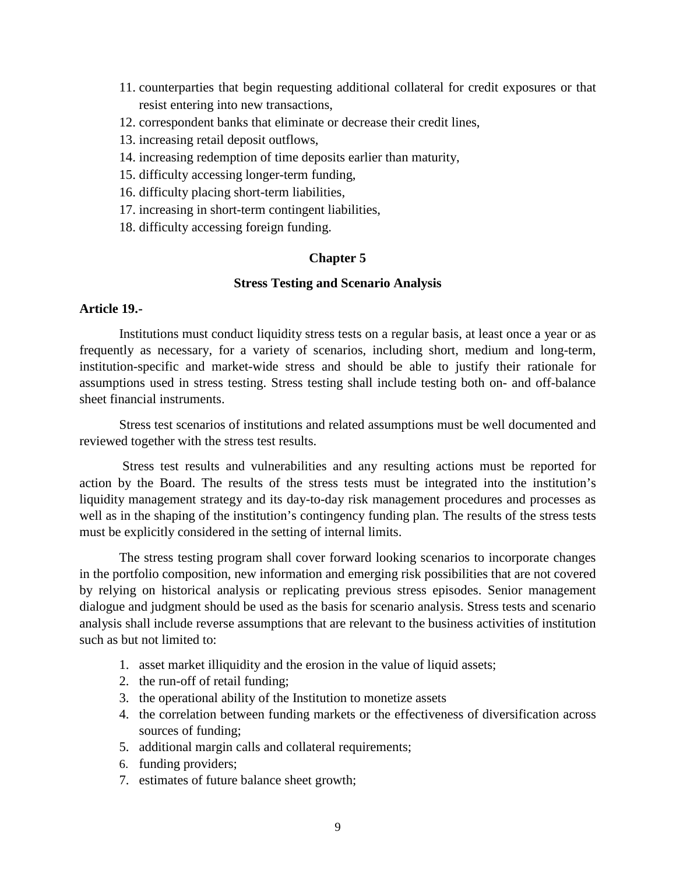- 11. counterparties that begin requesting additional collateral for credit exposures or that resist entering into new transactions,
- 12. correspondent banks that eliminate or decrease their credit lines,
- 13. increasing retail deposit outflows,
- 14. increasing redemption of time deposits earlier than maturity,
- 15. difficulty accessing longer-term funding,
- 16. difficulty placing short-term liabilities,
- 17. increasing in short-term contingent liabilities,
- 18. difficulty accessing foreign funding.

# **Chapter 5**

### **Stress Testing and Scenario Analysis**

### **Article 19.-**

Institutions must conduct liquidity stress tests on a regular basis, at least once a year or as frequently as necessary, for a variety of scenarios, including short, medium and long-term, institution-specific and market-wide stress and should be able to justify their rationale for assumptions used in stress testing. Stress testing shall include testing both on- and off-balance sheet financial instruments.

Stress test scenarios of institutions and related assumptions must be well documented and reviewed together with the stress test results.

Stress test results and vulnerabilities and any resulting actions must be reported for action by the Board. The results of the stress tests must be integrated into the institution's liquidity management strategy and its day-to-day risk management procedures and processes as well as in the shaping of the institution's contingency funding plan. The results of the stress tests must be explicitly considered in the setting of internal limits.

The stress testing program shall cover forward looking scenarios to incorporate changes in the portfolio composition, new information and emerging risk possibilities that are not covered by relying on historical analysis or replicating previous stress episodes. Senior management dialogue and judgment should be used as the basis for scenario analysis. Stress tests and scenario analysis shall include reverse assumptions that are relevant to the business activities of institution such as but not limited to:

- 1. asset market illiquidity and the erosion in the value of liquid assets;
- 2. the run-off of retail funding;
- 3. the operational ability of the Institution to monetize assets
- 4. the correlation between funding markets or the effectiveness of diversification across sources of funding;
- 5. additional margin calls and collateral requirements;
- 6. funding providers;
- 7. estimates of future balance sheet growth;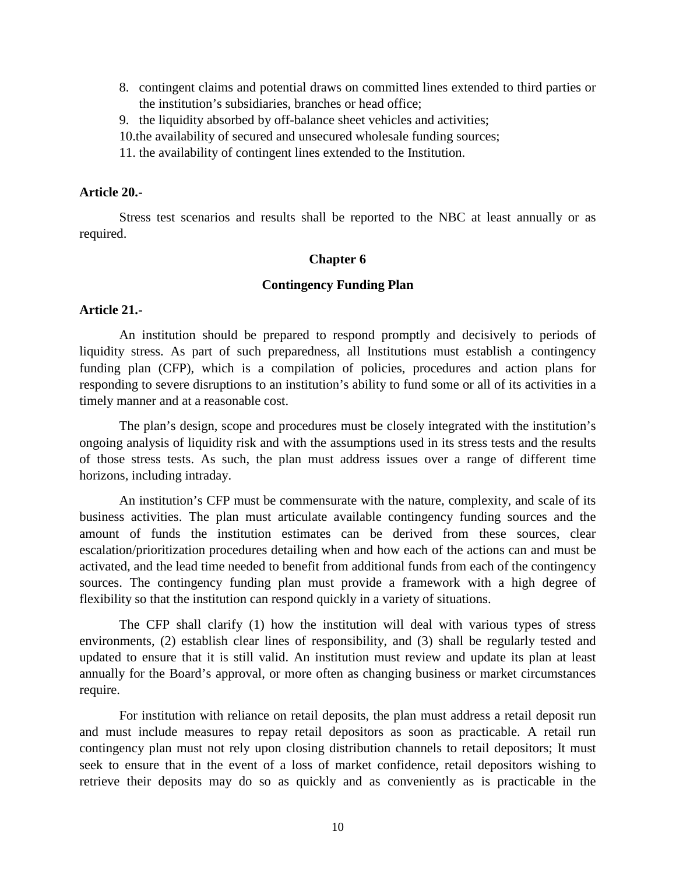- 8. contingent claims and potential draws on committed lines extended to third parties or the institution's subsidiaries, branches or head office;
- 9. the liquidity absorbed by off-balance sheet vehicles and activities;
- 10.the availability of secured and unsecured wholesale funding sources;
- 11. the availability of contingent lines extended to the Institution.

### **Article 20.-**

Stress test scenarios and results shall be reported to the NBC at least annually or as required.

#### **Chapter 6**

### **Contingency Funding Plan**

# **Article 21.-**

An institution should be prepared to respond promptly and decisively to periods of liquidity stress. As part of such preparedness, all Institutions must establish a contingency funding plan (CFP), which is a compilation of policies, procedures and action plans for responding to severe disruptions to an institution's ability to fund some or all of its activities in a timely manner and at a reasonable cost.

The plan's design, scope and procedures must be closely integrated with the institution's ongoing analysis of liquidity risk and with the assumptions used in its stress tests and the results of those stress tests. As such, the plan must address issues over a range of different time horizons, including intraday.

An institution's CFP must be commensurate with the nature, complexity, and scale of its business activities. The plan must articulate available contingency funding sources and the amount of funds the institution estimates can be derived from these sources, clear escalation/prioritization procedures detailing when and how each of the actions can and must be activated, and the lead time needed to benefit from additional funds from each of the contingency sources. The contingency funding plan must provide a framework with a high degree of flexibility so that the institution can respond quickly in a variety of situations.

The CFP shall clarify (1) how the institution will deal with various types of stress environments, (2) establish clear lines of responsibility, and (3) shall be regularly tested and updated to ensure that it is still valid. An institution must review and update its plan at least annually for the Board's approval, or more often as changing business or market circumstances require.

For institution with reliance on retail deposits, the plan must address a retail deposit run and must include measures to repay retail depositors as soon as practicable. A retail run contingency plan must not rely upon closing distribution channels to retail depositors; It must seek to ensure that in the event of a loss of market confidence, retail depositors wishing to retrieve their deposits may do so as quickly and as conveniently as is practicable in the